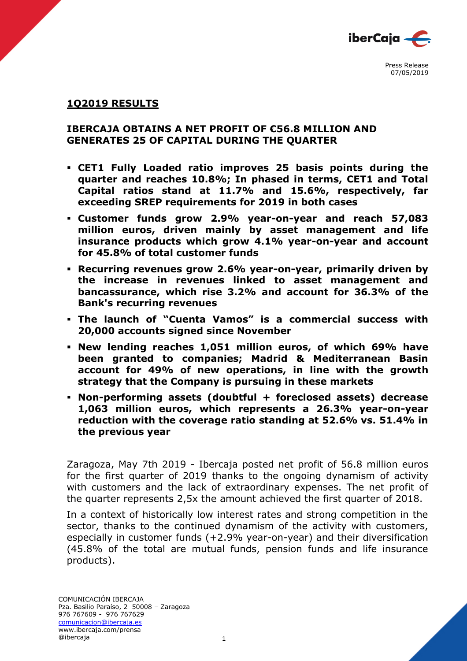

### **1Q2019 RESULTS**

### **IBERCAJA OBTAINS A NET PROFIT OF €56.8 MILLION AND GENERATES 25 OF CAPITAL DURING THE QUARTER**

- **CET1 Fully Loaded ratio improves 25 basis points during the quarter and reaches 10.8%; In phased in terms, CET1 and Total Capital ratios stand at 11.7% and 15.6%, respectively, far exceeding SREP requirements for 2019 in both cases**
- **Customer funds grow 2.9% year-on-year and reach 57,083 million euros, driven mainly by asset management and life insurance products which grow 4.1% year-on-year and account for 45.8% of total customer funds**
- **Recurring revenues grow 2.6% year-on-year, primarily driven by the increase in revenues linked to asset management and bancassurance, which rise 3.2% and account for 36.3% of the Bank's recurring revenues**
- **The launch of "Cuenta Vamos" is a commercial success with 20,000 accounts signed since November**
- **New lending reaches 1,051 million euros, of which 69% have been granted to companies; Madrid & Mediterranean Basin account for 49% of new operations, in line with the growth strategy that the Company is pursuing in these markets**
- **Non-performing assets (doubtful + foreclosed assets) decrease 1,063 million euros, which represents a 26.3% year-on-year reduction with the coverage ratio standing at 52.6% vs. 51.4% in the previous year**

Zaragoza, May 7th 2019 - Ibercaja posted net profit of 56.8 million euros for the first quarter of 2019 thanks to the ongoing dynamism of activity with customers and the lack of extraordinary expenses. The net profit of the quarter represents 2,5x the amount achieved the first quarter of 2018.

In a context of historically low interest rates and strong competition in the sector, thanks to the continued dynamism of the activity with customers, especially in customer funds (+2.9% year-on-year) and their diversification (45.8% of the total are mutual funds, pension funds and life insurance products).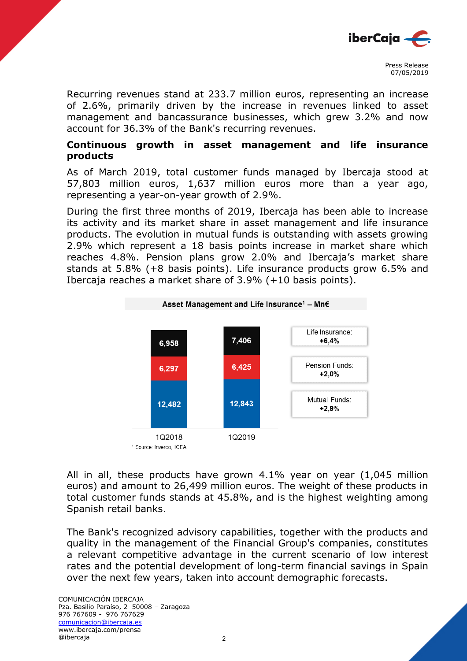

Recurring revenues stand at 233.7 million euros, representing an increase of 2.6%, primarily driven by the increase in revenues linked to asset management and bancassurance businesses, which grew 3.2% and now account for 36.3% of the Bank's recurring revenues.

# **Continuous growth in asset management and life insurance products**

As of March 2019, total customer funds managed by Ibercaja stood at 57,803 million euros, 1,637 million euros more than a year ago, representing a year-on-year growth of 2.9%.

During the first three months of 2019, Ibercaja has been able to increase its activity and its market share in asset management and life insurance products. The evolution in mutual funds is outstanding with assets growing 2.9% which represent a 18 basis points increase in market share which reaches 4.8%. Pension plans grow 2.0% and Ibercaja's market share stands at 5.8% (+8 basis points). Life insurance products grow 6.5% and Ibercaja reaches a market share of 3.9% (+10 basis points).



All in all, these products have grown 4.1% year on year (1,045 million euros) and amount to 26,499 million euros. The weight of these products in total customer funds stands at 45.8%, and is the highest weighting among Spanish retail banks.

The Bank's recognized advisory capabilities, together with the products and quality in the management of the Financial Group's companies, constitutes a relevant competitive advantage in the current scenario of low interest rates and the potential development of long-term financial savings in Spain over the next few years, taken into account demographic forecasts.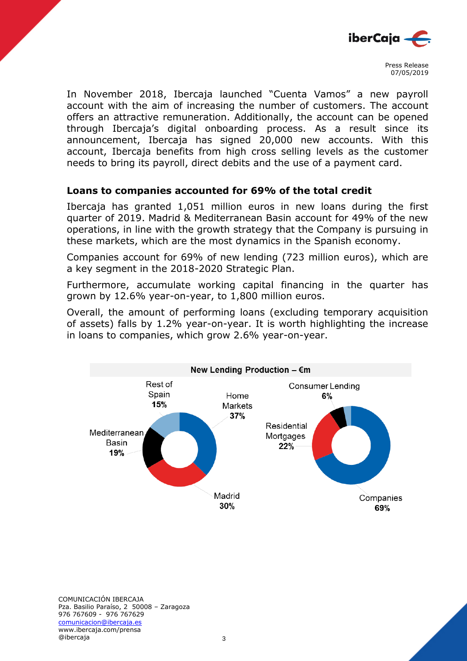

In November 2018, Ibercaja launched "Cuenta Vamos" a new payroll account with the aim of increasing the number of customers. The account offers an attractive remuneration. Additionally, the account can be opened through Ibercaja's digital onboarding process. As a result since its announcement, Ibercaja has signed 20,000 new accounts. With this account, Ibercaja benefits from high cross selling levels as the customer needs to bring its payroll, direct debits and the use of a payment card.

## **Loans to companies accounted for 69% of the total credit**

Ibercaja has granted 1,051 million euros in new loans during the first quarter of 2019. Madrid & Mediterranean Basin account for 49% of the new operations, in line with the growth strategy that the Company is pursuing in these markets, which are the most dynamics in the Spanish economy.

Companies account for 69% of new lending (723 million euros), which are a key segment in the 2018-2020 Strategic Plan.

Furthermore, accumulate working capital financing in the quarter has grown by 12.6% year-on-year, to 1,800 million euros.

Overall, the amount of performing loans (excluding temporary acquisition of assets) falls by 1.2% year-on-year. It is worth highlighting the increase in loans to companies, which grow 2.6% year-on-year.



COMUNICACIÓN IBERCAJA Pza. Basilio Paraíso, 2 50008 – Zaragoza 976 767609 - 976 767629 comunicacion@ibercaja.es www.ibercaja.com/prensa @ibercaja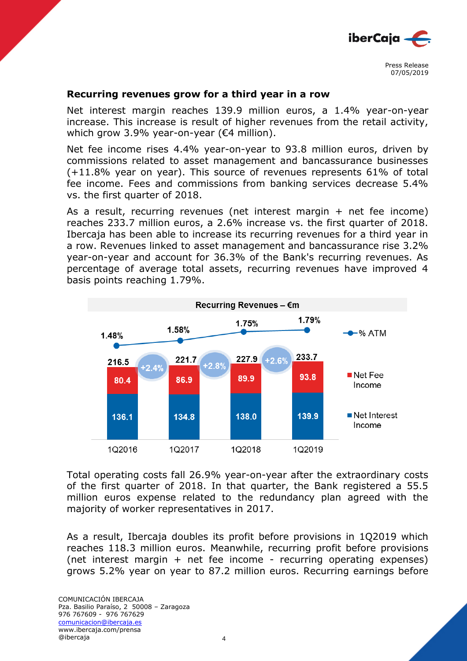

#### **Recurring revenues grow for a third year in a row**

Net interest margin reaches 139.9 million euros, a 1.4% year-on-year increase. This increase is result of higher revenues from the retail activity, which grow 3.9% year-on-year (€4 million).

Net fee income rises 4.4% year-on-year to 93.8 million euros, driven by commissions related to asset management and bancassurance businesses (+11.8% year on year). This source of revenues represents 61% of total fee income. Fees and commissions from banking services decrease 5.4% vs. the first quarter of 2018.

As a result, recurring revenues (net interest margin + net fee income) reaches 233.7 million euros, a 2.6% increase vs. the first quarter of 2018. Ibercaja has been able to increase its recurring revenues for a third year in a row. Revenues linked to asset management and bancassurance rise 3.2% year-on-year and account for 36.3% of the Bank's recurring revenues. As percentage of average total assets, recurring revenues have improved 4 basis points reaching 1.79%.



Total operating costs fall 26.9% year-on-year after the extraordinary costs of the first quarter of 2018. In that quarter, the Bank registered a 55.5 million euros expense related to the redundancy plan agreed with the majority of worker representatives in 2017.

As a result, Ibercaja doubles its profit before provisions in 1Q2019 which reaches 118.3 million euros. Meanwhile, recurring profit before provisions (net interest margin + net fee income - recurring operating expenses) grows 5.2% year on year to 87.2 million euros. Recurring earnings before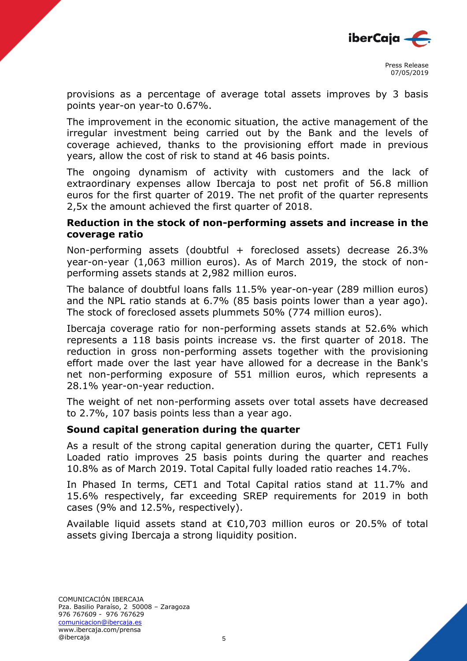

provisions as a percentage of average total assets improves by 3 basis points year-on year-to 0.67%.

The improvement in the economic situation, the active management of the irregular investment being carried out by the Bank and the levels of coverage achieved, thanks to the provisioning effort made in previous years, allow the cost of risk to stand at 46 basis points.

The ongoing dynamism of activity with customers and the lack of extraordinary expenses allow Ibercaja to post net profit of 56.8 million euros for the first quarter of 2019. The net profit of the quarter represents 2,5x the amount achieved the first quarter of 2018.

## **Reduction in the stock of non-performing assets and increase in the coverage ratio**

Non-performing assets (doubtful + foreclosed assets) decrease 26.3% year-on-year (1,063 million euros). As of March 2019, the stock of nonperforming assets stands at 2,982 million euros.

The balance of doubtful loans falls 11.5% year-on-year (289 million euros) and the NPL ratio stands at 6.7% (85 basis points lower than a year ago). The stock of foreclosed assets plummets 50% (774 million euros).

Ibercaja coverage ratio for non-performing assets stands at 52.6% which represents a 118 basis points increase vs. the first quarter of 2018. The reduction in gross non-performing assets together with the provisioning effort made over the last year have allowed for a decrease in the Bank's net non-performing exposure of 551 million euros, which represents a 28.1% year-on-year reduction.

The weight of net non-performing assets over total assets have decreased to 2.7%, 107 basis points less than a year ago.

# **Sound capital generation during the quarter**

As a result of the strong capital generation during the quarter, CET1 Fully Loaded ratio improves 25 basis points during the quarter and reaches 10.8% as of March 2019. Total Capital fully loaded ratio reaches 14.7%.

In Phased In terms, CET1 and Total Capital ratios stand at 11.7% and 15.6% respectively, far exceeding SREP requirements for 2019 in both cases (9% and 12.5%, respectively).

Available liquid assets stand at €10,703 million euros or 20.5% of total assets giving Ibercaja a strong liquidity position.